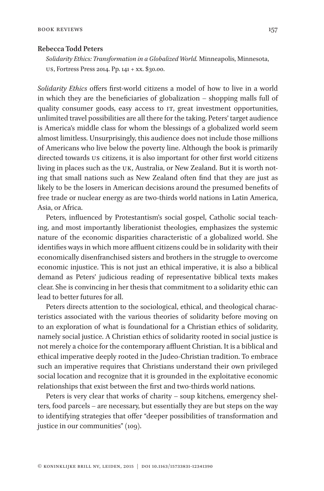## **Rebecca Todd Peters**

*Solidarity Ethics: Transformation in a Globalized World.* Minneapolis, Minnesota, US, Fortress Press 2014. Pp. 141 + xx. \$30.00.

*Solidarity Ethics* offers first-world citizens a model of how to live in a world in which they are the beneficiaries of globalization – shopping malls full of quality consumer goods, easy access to IT, great investment opportunities, unlimited travel possibilities are all there for the taking. Peters' target audience is America's middle class for whom the blessings of a globalized world seem almost limitless. Unsurprisingly, this audience does not include those millions of Americans who live below the poverty line. Although the book is primarily directed towards US citizens, it is also important for other first world citizens living in places such as the UK, Australia, or New Zealand. But it is worth noting that small nations such as New Zealand often find that they are just as likely to be the losers in American decisions around the presumed benefits of free trade or nuclear energy as are two-thirds world nations in Latin America, Asia, or Africa.

Peters, influenced by Protestantism's social gospel, Catholic social teaching, and most importantly liberationist theologies, emphasizes the systemic nature of the economic disparities characteristic of a globalized world. She identifies ways in which more affluent citizens could be in solidarity with their economically disenfranchised sisters and brothers in the struggle to overcome economic injustice. This is not just an ethical imperative, it is also a biblical demand as Peters' judicious reading of representative biblical texts makes clear. She is convincing in her thesis that commitment to a solidarity ethic can lead to better futures for all.

Peters directs attention to the sociological, ethical, and theological characteristics associated with the various theories of solidarity before moving on to an exploration of what is foundational for a Christian ethics of solidarity, namely social justice. A Christian ethics of solidarity rooted in social justice is not merely a choice for the contemporary affluent Christian. It is a biblical and ethical imperative deeply rooted in the Judeo-Christian tradition. To embrace such an imperative requires that Christians understand their own privileged social location and recognize that it is grounded in the exploitative economic relationships that exist between the first and two-thirds world nations.

Peters is very clear that works of charity – soup kitchens, emergency shelters, food parcels – are necessary, but essentially they are but steps on the way to identifying strategies that offer "deeper possibilities of transformation and justice in our communities" (109).